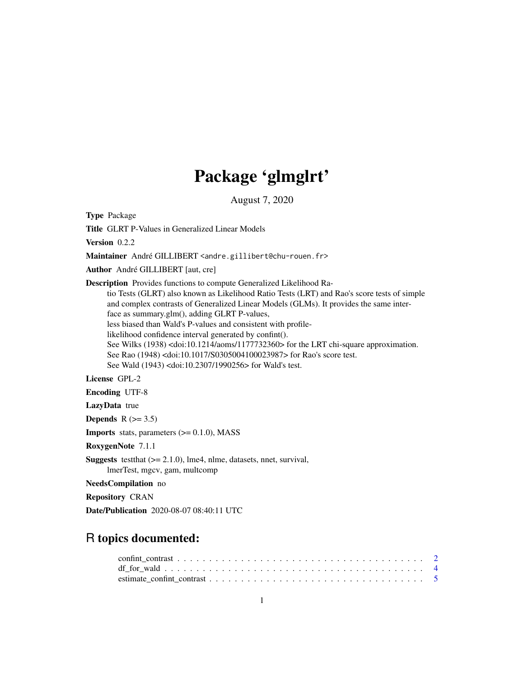# Package 'glmglrt'

August 7, 2020

<span id="page-0-0"></span>Type Package

Title GLRT P-Values in Generalized Linear Models

Version 0.2.2

Maintainer André GILLIBERT <andre.gillibert@chu-rouen.fr>

Author André GILLIBERT [aut, cre]

Description Provides functions to compute Generalized Likelihood Ra-

tio Tests (GLRT) also known as Likelihood Ratio Tests (LRT) and Rao's score tests of simple and complex contrasts of Generalized Linear Models (GLMs). It provides the same interface as summary.glm(), adding GLRT P-values,

less biased than Wald's P-values and consistent with profile-

likelihood confidence interval generated by confint().

See Wilks (1938) <doi:10.1214/aoms/1177732360> for the LRT chi-square approximation.

See Rao (1948) <doi:10.1017/S0305004100023987> for Rao's score test.

See Wald (1943) <doi:10.2307/1990256> for Wald's test.

License GPL-2

Encoding UTF-8

LazyData true

Depends  $R$  ( $>= 3.5$ )

**Imports** stats, parameters  $(>= 0.1.0)$ , MASS

RoxygenNote 7.1.1

Suggests testthat (>= 2.1.0), lme4, nlme, datasets, nnet, survival, lmerTest, mgcv, gam, multcomp

NeedsCompilation no

Repository CRAN

Date/Publication 2020-08-07 08:40:11 UTC

# R topics documented: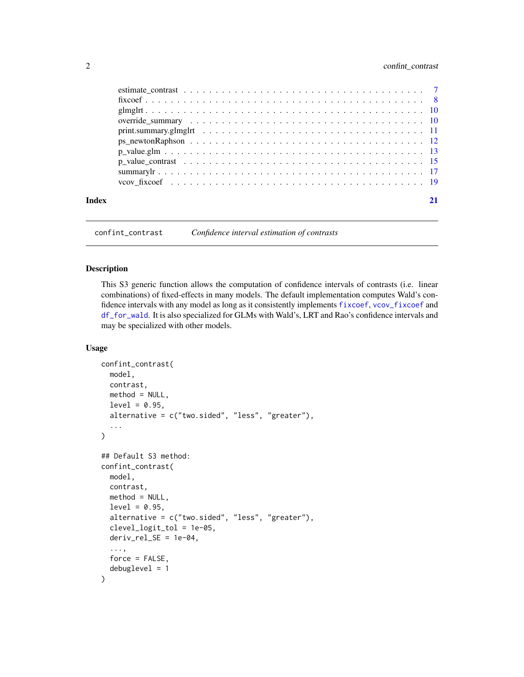# <span id="page-1-0"></span>2 confint\_contrast

| Index |                                                                                                        |  |
|-------|--------------------------------------------------------------------------------------------------------|--|
|       |                                                                                                        |  |
|       |                                                                                                        |  |
|       | p value contrast $\ldots \ldots \ldots \ldots \ldots \ldots \ldots \ldots \ldots \ldots \ldots \ldots$ |  |
|       |                                                                                                        |  |
|       |                                                                                                        |  |
|       |                                                                                                        |  |
|       |                                                                                                        |  |
|       |                                                                                                        |  |
|       |                                                                                                        |  |
|       |                                                                                                        |  |

<span id="page-1-1"></span>confint\_contrast *Confidence interval estimation of contrasts*

# <span id="page-1-2"></span>Description

This S3 generic function allows the computation of confidence intervals of contrasts (i.e. linear combinations) of fixed-effects in many models. The default implementation computes Wald's confidence intervals with any model as long as it consistently implements [fixcoef](#page-7-1), [vcov\\_fixcoef](#page-18-1) and [df\\_for\\_wald](#page-3-1). It is also specialized for GLMs with Wald's, LRT and Rao's confidence intervals and may be specialized with other models.

```
confint_contrast(
  model,
  contrast,
  method = NULL,level = 0.95,alternative = c("two.sided", "less", "greater"),
  ...
\mathcal{L}## Default S3 method:
confint_contrast(
 model,
  contrast,
 method = NULL,level = 0.95,alternative = c("two.sided", "less", "greater"),
  clevel_logit_tol = 1e-05,
  deriv_{rel\_SE} = 1e-04,
  ...,
  force = FALSE,debuglevel = 1
)
```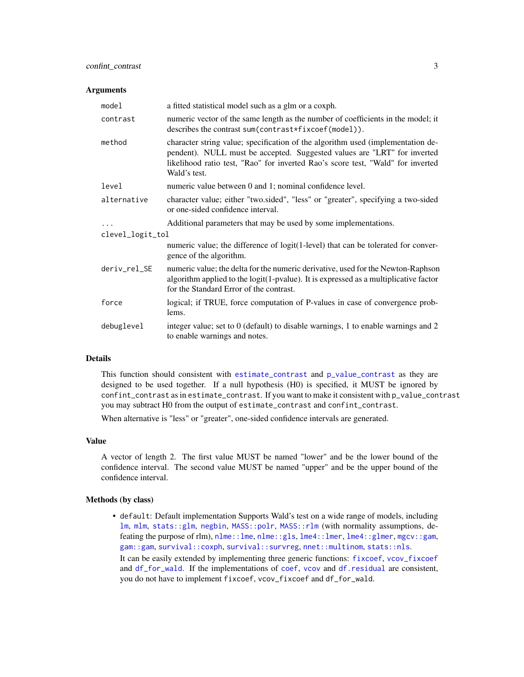### <span id="page-2-0"></span>Arguments

| model            | a fitted statistical model such as a glm or a coxph.                                                                                                                                                                                                           |
|------------------|----------------------------------------------------------------------------------------------------------------------------------------------------------------------------------------------------------------------------------------------------------------|
| contrast         | numeric vector of the same length as the number of coefficients in the model; it<br>describes the contrast sum(contrast*fixcoef(model)).                                                                                                                       |
| method           | character string value; specification of the algorithm used (implementation de-<br>pendent). NULL must be accepted. Suggested values are "LRT" for inverted<br>likelihood ratio test, "Rao" for inverted Rao's score test, "Wald" for inverted<br>Wald's test. |
| level            | numeric value between 0 and 1; nominal confidence level.                                                                                                                                                                                                       |
| alternative      | character value; either "two.sided", "less" or "greater", specifying a two-sided<br>or one-sided confidence interval.                                                                                                                                          |
|                  | Additional parameters that may be used by some implementations.                                                                                                                                                                                                |
| clevel_logit_tol |                                                                                                                                                                                                                                                                |
|                  | numeric value; the difference of logit(1-level) that can be tolerated for conver-<br>gence of the algorithm.                                                                                                                                                   |
| deriv_rel_SE     | numeric value; the delta for the numeric derivative, used for the Newton-Raphson<br>algorithm applied to the logit(1-pvalue). It is expressed as a multiplicative factor<br>for the Standard Error of the contrast.                                            |
| force            | logical; if TRUE, force computation of P-values in case of convergence prob-<br>lems.                                                                                                                                                                          |
| debuglevel       | integer value; set to 0 (default) to disable warnings, 1 to enable warnings and 2<br>to enable warnings and notes.                                                                                                                                             |

# Details

This function should consistent with [estimate\\_contrast](#page-6-1) and [p\\_value\\_contrast](#page-14-1) as they are designed to be used together. If a null hypothesis (H0) is specified, it MUST be ignored by confint\_contrast as in estimate\_contrast. If you want to make it consistent with p\_value\_contrast you may subtract H0 from the output of estimate\_contrast and confint\_contrast.

When alternative is "less" or "greater", one-sided confidence intervals are generated.

# Value

A vector of length 2. The first value MUST be named "lower" and be the lower bound of the confidence interval. The second value MUST be named "upper" and be the upper bound of the confidence interval.

#### Methods (by class)

• default: Default implementation Supports Wald's test on a wide range of models, including [lm](#page-0-0), [mlm](#page-0-0), [stats::glm](#page-0-0), [negbin](#page-0-0), [MASS::polr](#page-0-0), [MASS::rlm](#page-0-0) (with normality assumptions, defeating the purpose of rlm),  $nlm$ e::lme,  $nlmc$ ::gls, [lme4::lmer](#page-0-0), [lme4::glmer](#page-0-0), [mgcv::gam](#page-0-0), [gam::gam](#page-0-0), [survival::coxph](#page-0-0), [survival::survreg](#page-0-0), [nnet::multinom](#page-0-0), [stats::nls](#page-0-0).

It can be easily extended by implementing three generic functions: [fixcoef](#page-7-1), [vcov\\_fixcoef](#page-18-1) and [df\\_for\\_wald](#page-3-1). If the implementations of [coef](#page-0-0), [vcov](#page-0-0) and [df.residual](#page-0-0) are consistent, you do not have to implement fixcoef, vcov\_fixcoef and df\_for\_wald.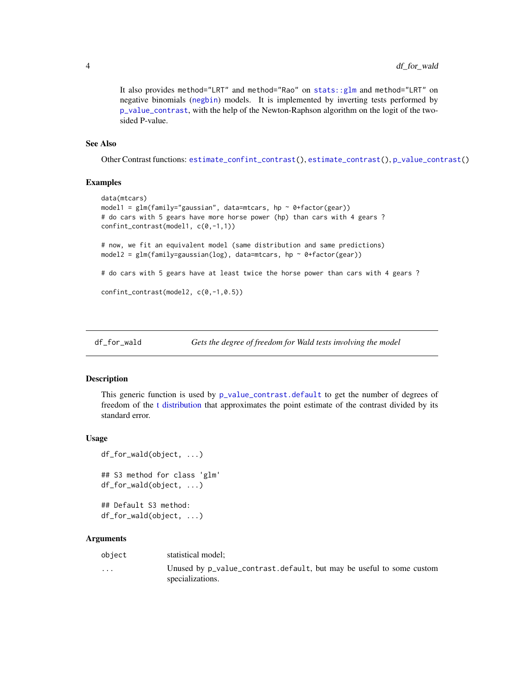<span id="page-3-0"></span>It also provides method="LRT" and method="Rao" on [stats::glm](#page-0-0) and method="LRT" on negative binomials ([negbin](#page-0-0)) models. It is implemented by inverting tests performed by [p\\_value\\_contrast](#page-14-1), with the help of the Newton-Raphson algorithm on the logit of the twosided P-value.

# See Also

Other Contrast functions: [estimate\\_confint\\_contrast\(](#page-4-1)), [estimate\\_contrast\(](#page-6-1)), [p\\_value\\_contrast\(](#page-14-1))

# Examples

```
data(mtcars)
model1 = glm(family="gaussian", data=mtcars, hp ~0+factor(gear))# do cars with 5 gears have more horse power (hp) than cars with 4 gears ?
confint_contrast(model1, c(0,-1,1))
# now, we fit an equivalent model (same distribution and same predictions)
model2 = glm(family=gaussian(log), data=mtcars, hp ~ 0+factor(gear))
# do cars with 5 gears have at least twice the horse power than cars with 4 gears ?
confint_contrast(model2, c(0,-1,0.5))
```
<span id="page-3-1"></span>df\_for\_wald *Gets the degree of freedom for Wald tests involving the model*

#### Description

This generic function is used by [p\\_value\\_contrast.default](#page-14-2) to get the number of degrees of freedom of the [t distribution](#page-0-0) that approximates the point estimate of the contrast divided by its standard error.

# Usage

```
df_for_wald(object, ...)
## S3 method for class 'glm'
df_for_wald(object, ...)
```
## Default S3 method: df\_for\_wald(object, ...)

#### Arguments

| object | statistical model; |
|--------|--------------------|
|--------|--------------------|

... Unused by p\_value\_contrast.default, but may be useful to some custom specializations.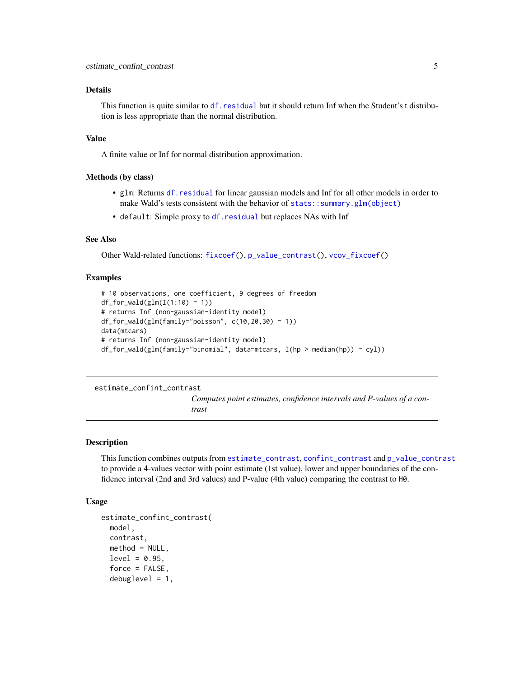### <span id="page-4-0"></span>Details

This function is quite similar to df. residual but it should return Inf when the Student's t distribution is less appropriate than the normal distribution.

#### Value

A finite value or Inf for normal distribution approximation.

# Methods (by class)

- glm: Returns [df.residual](#page-0-0) for linear gaussian models and Inf for all other models in order to make Wald's tests consistent with the behavior of [stats::summary.glm\(object\)](#page-0-0)
- default: Simple proxy to [df.residual](#page-0-0) but replaces NAs with Inf

# See Also

Other Wald-related functions: [fixcoef\(](#page-7-1)), [p\\_value\\_contrast\(](#page-14-1)), [vcov\\_fixcoef\(](#page-18-1))

# Examples

```
# 10 observations, one coefficient, 9 degrees of freedom
df_for_wald(glm(I(1:10) \sim 1))# returns Inf (non-gaussian-identity model)
df_for_wald(glm(family="poisson", c(10, 20, 30) ~ 1))data(mtcars)
# returns Inf (non-gaussian-identity model)
df_for_wald(glm(family="binomial", data=mtcars, I(hp > median(hp)) < cyl)
```
#### <span id="page-4-1"></span>estimate\_confint\_contrast

*Computes point estimates, confidence intervals and P-values of a contrast*

# Description

This function combines outputs from [estimate\\_contrast](#page-6-1), [confint\\_contrast](#page-1-1) and [p\\_value\\_contrast](#page-14-1) to provide a 4-values vector with point estimate (1st value), lower and upper boundaries of the confidence interval (2nd and 3rd values) and P-value (4th value) comparing the contrast to H0.

```
estimate_confint_contrast(
 model,
  contrast,
 method = NULL,level = 0.95,force = FALSE,
  debuglevel = 1,
```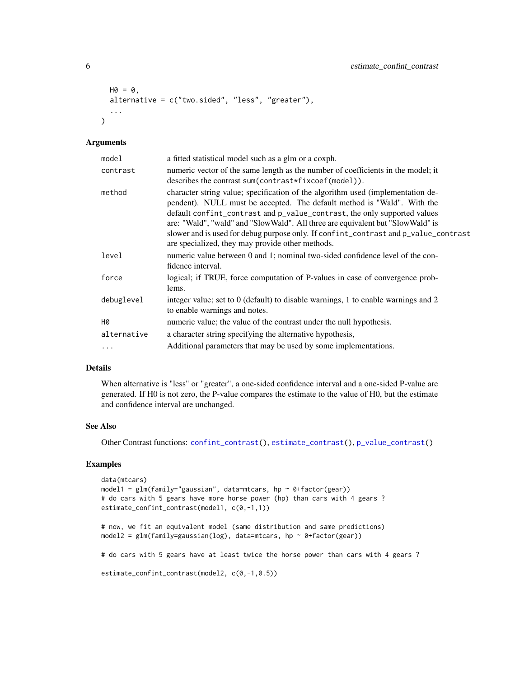```
HO = 0,
alternative = c("two.sided", "less", "greater"),
...
```
# Arguments

 $\mathcal{L}$ 

| model       | a fitted statistical model such as a glm or a coxph.                                                                                                                                                                                                                                                                                                                                                                                                                |
|-------------|---------------------------------------------------------------------------------------------------------------------------------------------------------------------------------------------------------------------------------------------------------------------------------------------------------------------------------------------------------------------------------------------------------------------------------------------------------------------|
| contrast    | numeric vector of the same length as the number of coefficients in the model; it<br>describes the contrast sum (contrast*fixcoef(model)).                                                                                                                                                                                                                                                                                                                           |
| method      | character string value; specification of the algorithm used (implementation de-<br>pendent). NULL must be accepted. The default method is "Wald". With the<br>default confint_contrast and p_value_contrast, the only supported values<br>are: "Wald", "wald" and "SlowWald". All three are equivalent but "SlowWald" is<br>slower and is used for debug purpose only. If confint_contrast and p_value_contrast<br>are specialized, they may provide other methods. |
| level       | numeric value between 0 and 1; nominal two-sided confidence level of the con-<br>fidence interval.                                                                                                                                                                                                                                                                                                                                                                  |
| force       | logical; if TRUE, force computation of P-values in case of convergence prob-<br>lems.                                                                                                                                                                                                                                                                                                                                                                               |
| debuglevel  | integer value; set to 0 (default) to disable warnings, 1 to enable warnings and 2<br>to enable warnings and notes.                                                                                                                                                                                                                                                                                                                                                  |
| H0          | numeric value; the value of the contrast under the null hypothesis.                                                                                                                                                                                                                                                                                                                                                                                                 |
| alternative | a character string specifying the alternative hypothesis,                                                                                                                                                                                                                                                                                                                                                                                                           |
| $\ddots$ .  | Additional parameters that may be used by some implementations.                                                                                                                                                                                                                                                                                                                                                                                                     |

# Details

When alternative is "less" or "greater", a one-sided confidence interval and a one-sided P-value are generated. If H0 is not zero, the P-value compares the estimate to the value of H0, but the estimate and confidence interval are unchanged.

#### See Also

Other Contrast functions: [confint\\_contrast\(](#page-1-1)), [estimate\\_contrast\(](#page-6-1)), [p\\_value\\_contrast\(](#page-14-1))

# Examples

```
data(mtcars)
model1 = glm(family="gaussian", data=mtcars, hp ~0+factor(gear))# do cars with 5 gears have more horse power (hp) than cars with 4 gears ?
estimate_confint_contrast(model1, c(0,-1,1))
# now, we fit an equivalent model (same distribution and same predictions)
model2 = glm(family=gaussian(log), data=mtcars, hp ~ 0+factor(gear))
# do cars with 5 gears have at least twice the horse power than cars with 4 gears ?
estimate_confint_contrast(model2, c(0,-1,0.5))
```
<span id="page-5-0"></span>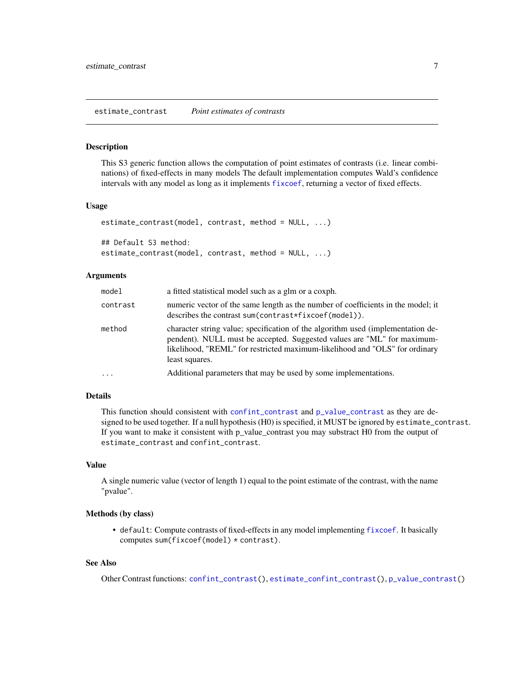#### <span id="page-6-1"></span><span id="page-6-0"></span>Description

This S3 generic function allows the computation of point estimates of contrasts (i.e. linear combinations) of fixed-effects in many models The default implementation computes Wald's confidence intervals with any model as long as it implements [fixcoef](#page-7-1), returning a vector of fixed effects.

# Usage

```
estimate_contrast(model, contrast, method = NULL, ...)
## Default S3 method:
estimate_contrast(model, contrast, method = NULL, ...)
```
# Arguments

| model    | a fitted statistical model such as a glm or a coxph.                                                                                                                                                                                                        |
|----------|-------------------------------------------------------------------------------------------------------------------------------------------------------------------------------------------------------------------------------------------------------------|
| contrast | numeric vector of the same length as the number of coefficients in the model; it<br>describes the contrast sum (contrast $\star$ fixcoef (model)).                                                                                                          |
| method   | character string value; specification of the algorithm used (implementation de-<br>pendent). NULL must be accepted. Suggested values are "ML" for maximum-<br>likelihood, "REML" for restricted maximum-likelihood and "OLS" for ordinary<br>least squares. |
| .        | Additional parameters that may be used by some implementations.                                                                                                                                                                                             |

# Details

This function should consistent with [confint\\_contrast](#page-1-1) and [p\\_value\\_contrast](#page-14-1) as they are designed to be used together. If a null hypothesis (H0) is specified, it MUST be ignored by estimate\_contrast. If you want to make it consistent with p\_value\_contrast you may substract H0 from the output of estimate\_contrast and confint\_contrast.

# Value

A single numeric value (vector of length 1) equal to the point estimate of the contrast, with the name "pvalue".

#### Methods (by class)

• default: Compute contrasts of fixed-effects in any model implementing [fixcoef](#page-7-1). It basically computes sum(fixcoef(model) \* contrast).

# See Also

Other Contrast functions: [confint\\_contrast\(](#page-1-1)), [estimate\\_confint\\_contrast\(](#page-4-1)), [p\\_value\\_contrast\(](#page-14-1))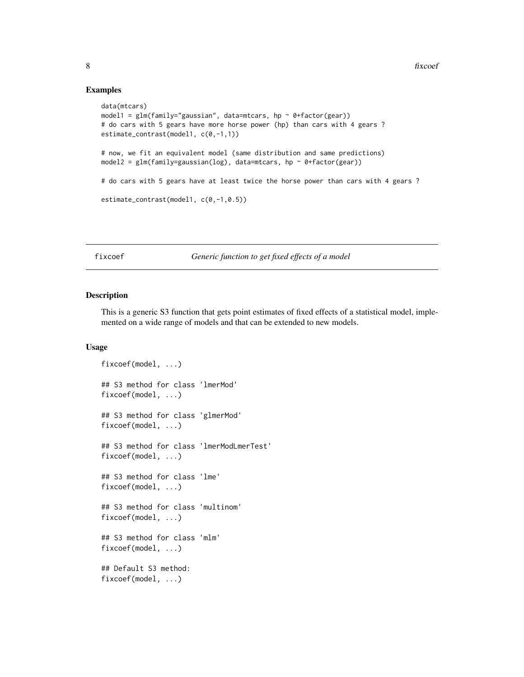# Examples

```
data(mtcars)
model1 = glm(family="gaussian", data=mtcars, hp ~ 0+factor(gear))# do cars with 5 gears have more horse power (hp) than cars with 4 gears ?
estimate_contrast(model1, c(0,-1,1))
# now, we fit an equivalent model (same distribution and same predictions)
model2 = glm(family=gaussian(log), data=mtcars, hp ~ 0+factor(gear))
# do cars with 5 gears have at least twice the horse power than cars with 4 gears ?
estimate_contrast(model1, c(0,-1,0.5))
```
<span id="page-7-1"></span>fixcoef *Generic function to get fixed effects of a model*

# **Description**

This is a generic S3 function that gets point estimates of fixed effects of a statistical model, implemented on a wide range of models and that can be extended to new models.

```
fixcoef(model, ...)
## S3 method for class 'lmerMod'
fixcoef(model, ...)
## S3 method for class 'glmerMod'
fixcoef(model, ...)
## S3 method for class 'lmerModLmerTest'
fixcoef(model, ...)
## S3 method for class 'lme'
fixcoef(model, ...)
## S3 method for class 'multinom'
fixcoef(model, ...)
## S3 method for class 'mlm'
fixcoef(model, ...)
## Default S3 method:
fixcoef(model, ...)
```
<span id="page-7-0"></span>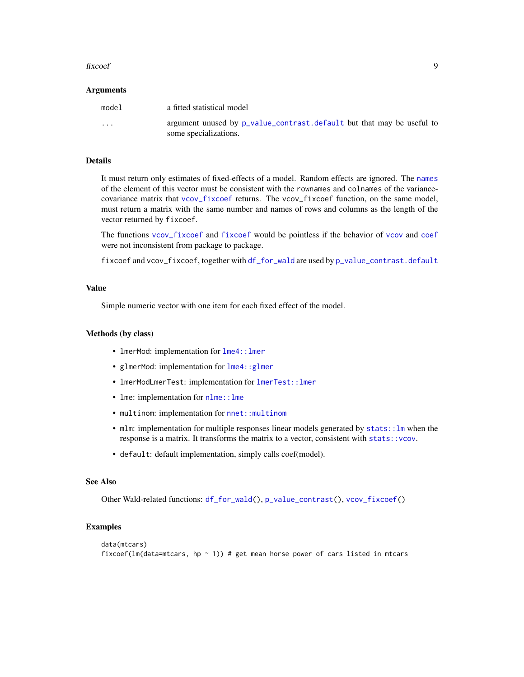#### <span id="page-8-0"></span>fixcoef 9

#### Arguments

| model    | a fitted statistical model                                                                     |
|----------|------------------------------------------------------------------------------------------------|
| $\cdots$ | argument unused by p_value_contrast.default but that may be useful to<br>some specializations. |

# Details

It must return only estimates of fixed-effects of a model. Random effects are ignored. The [names](#page-0-0) of the element of this vector must be consistent with the rownames and colnames of the variancecovariance matrix that [vcov\\_fixcoef](#page-18-1) returns. The vcov\_fixcoef function, on the same model, must return a matrix with the same number and names of rows and columns as the length of the vector returned by fixcoef.

The functions [vcov\\_fixcoef](#page-18-1) and [fixcoef](#page-7-1) would be pointless if the behavior of [vcov](#page-0-0) and [coef](#page-0-0) were not inconsistent from package to package.

fixcoef and vcov\_fixcoef, together with [df\\_for\\_wald](#page-3-1) are used by [p\\_value\\_contrast.default](#page-14-2)

#### Value

Simple numeric vector with one item for each fixed effect of the model.

#### Methods (by class)

- lmerMod: implementation for lme4:: lmer
- glmerMod: implementation for [lme4::glmer](#page-0-0)
- lmerModLmerTest: implementation for [lmerTest::lmer](#page-0-0)
- lme: implementation for  $nlm$ e:: lme
- multinom: implementation for [nnet::multinom](#page-0-0)
- mlm: implementation for multiple responses linear models generated by stats: : lm when the response is a matrix. It transforms the matrix to a vector, consistent with [stats::vcov](#page-0-0).
- default: default implementation, simply calls coef(model).

# See Also

Other Wald-related functions: [df\\_for\\_wald\(](#page-3-1)), [p\\_value\\_contrast\(](#page-14-1)), [vcov\\_fixcoef\(](#page-18-1))

# Examples

```
data(mtcars)
fixcoef(lm(data=mtcars, hp \sim 1)) # get mean horse power of cars listed in mtcars
```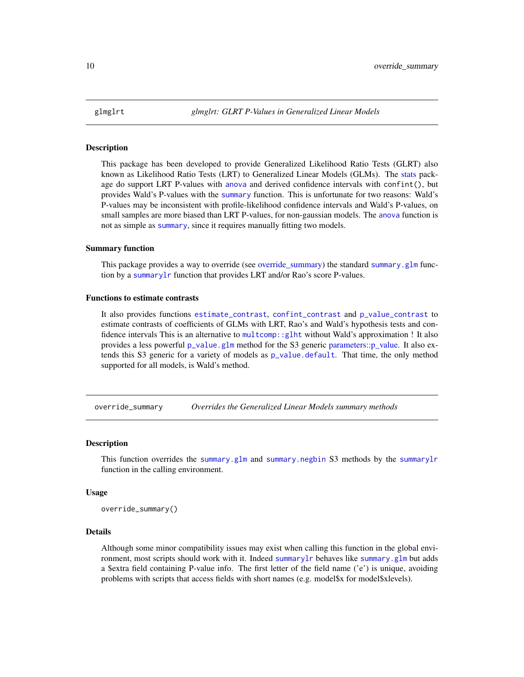<span id="page-9-0"></span>

#### Description

This package has been developed to provide Generalized Likelihood Ratio Tests (GLRT) also known as Likelihood Ratio Tests (LRT) to Generalized Linear Models (GLMs). The [stats](#page-0-0) package do support LRT P-values with [anova](#page-0-0) and derived confidence intervals with confint(), but provides Wald's P-values with the [summary](#page-0-0) function. This is unfortunate for two reasons: Wald's P-values may be inconsistent with profile-likelihood confidence intervals and Wald's P-values, on small samples are more biased than LRT P-values, for non-gaussian models. The [anova](#page-0-0) function is not as simple as [summary](#page-0-0), since it requires manually fitting two models.

# Summary function

This package provides a way to override (see [override\\_summary\)](#page-9-1) the standard [summary.glm](#page-0-0) function by a [summarylr](#page-16-1) function that provides LRT and/or Rao's score P-values.

# Functions to estimate contrasts

It also provides functions [estimate\\_contrast](#page-6-1), [confint\\_contrast](#page-1-1) and [p\\_value\\_contrast](#page-14-1) to estimate contrasts of coefficients of GLMs with LRT, Rao's and Wald's hypothesis tests and confidence intervals This is an alternative to [multcomp::glht](#page-0-0) without Wald's approximation ! It also provides a less powerful [p\\_value.glm](#page-12-1) method for the S3 generic [parameters::p\\_value.](#page-0-0) It also extends this S3 generic for a variety of models as [p\\_value.default](#page-0-0). That time, the only method supported for all models, is Wald's method.

<span id="page-9-1"></span>override\_summary *Overrides the Generalized Linear Models summary methods*

#### Description

This function overrides the [summary.glm](#page-0-0) and [summary.negbin](#page-0-0) S3 methods by the [summarylr](#page-16-1) function in the calling environment.

# Usage

override\_summary()

#### Details

Although some minor compatibility issues may exist when calling this function in the global environment, most scripts should work with it. Indeed [summarylr](#page-16-1) behaves like [summary.glm](#page-0-0) but adds a \$extra field containing P-value info. The first letter of the field name ('e') is unique, avoiding problems with scripts that access fields with short names (e.g. model\$x for model\$xlevels).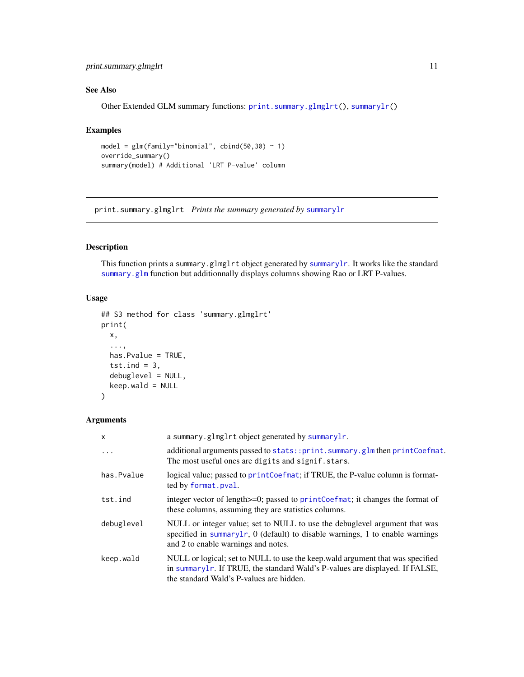# <span id="page-10-0"></span>print.summary.glmglrt 11

# See Also

Other Extended GLM summary functions: [print.summary.glmglrt\(](#page-10-1)), [summarylr\(](#page-16-1))

# Examples

```
model = glm(family="binomial", cbind(50, 30) ~ 1)override_summary()
summary(model) # Additional 'LRT P-value' column
```
<span id="page-10-1"></span>print.summary.glmglrt *Prints the summary generated by* [summarylr](#page-16-1)

# Description

This function prints a summary.glmglrt object generated by [summarylr](#page-16-1). It works like the standard [summary.glm](#page-0-0) function but additionnally displays columns showing Rao or LRT P-values.

# Usage

```
## S3 method for class 'summary.glmglrt'
print(
 x,
  ...,
 has.Pvalue = TRUE,
  tst.ind = 3,
  debuglevel = NULL,
 keep.wald = NULL
)
```
# Arguments

| $\mathsf{x}$ | a summary.glmglrt object generated by summarylr.                                                                                                                                                          |
|--------------|-----------------------------------------------------------------------------------------------------------------------------------------------------------------------------------------------------------|
| .            | additional arguments passed to stats::print.summary.glm then printCoefmat.<br>The most useful ones are digits and signif.stars.                                                                           |
| has.Pvalue   | logical value; passed to printCoefmat; if TRUE, the P-value column is format-<br>ted by format.pval.                                                                                                      |
| tst.ind      | integer vector of length >=0; passed to print Coefmat; it changes the format of<br>these columns, assuming they are statistics columns.                                                                   |
| debuglevel   | NULL or integer value; set to NULL to use the debuglevel argument that was<br>specified in summarylr, $0$ (default) to disable warnings, 1 to enable warnings<br>and 2 to enable warnings and notes.      |
| keep.wald    | NULL or logical; set to NULL to use the keep.wald argument that was specified<br>in summarylr. If TRUE, the standard Wald's P-values are displayed. If FALSE,<br>the standard Wald's P-values are hidden. |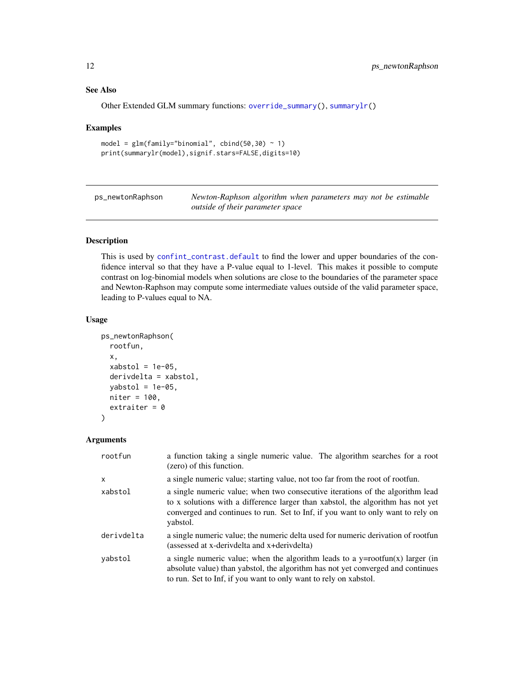# See Also

Other Extended GLM summary functions: [override\\_summary\(](#page-9-1)), [summarylr\(](#page-16-1))

#### Examples

```
model = glm(family="binomial", cbind(50, 30) ~ 1)print(summarylr(model),signif.stars=FALSE,digits=10)
```
ps\_newtonRaphson *Newton-Raphson algorithm when parameters may not be estimable outside of their parameter space*

# Description

This is used by [confint\\_contrast.default](#page-1-2) to find the lower and upper boundaries of the confidence interval so that they have a P-value equal to 1-level. This makes it possible to compute contrast on log-binomial models when solutions are close to the boundaries of the parameter space and Newton-Raphson may compute some intermediate values outside of the valid parameter space, leading to P-values equal to NA.

#### Usage

```
ps_newtonRaphson(
  rootfun,
  x,
  xabstol = 1e-05,
  derivdelta = xabstol,
  yabstol = 1e-05,
  niter = 100,
  extraiter = 0\mathcal{L}
```
# Arguments

| rootfun      | a function taking a single numeric value. The algorithm searches for a root<br>(zero) of this function.                                                                                                                                                         |
|--------------|-----------------------------------------------------------------------------------------------------------------------------------------------------------------------------------------------------------------------------------------------------------------|
| $\mathsf{x}$ | a single numeric value; starting value, not too far from the root of rootfun.                                                                                                                                                                                   |
| xabstol      | a single numeric value; when two consecutive iterations of the algorithm lead<br>to x solutions with a difference larger than xabstol, the algorithm has not yet<br>converged and continues to run. Set to Inf, if you want to only want to rely on<br>vabstol. |
| derivdelta   | a single numeric value; the numeric delta used for numeric derivation of rootfun<br>(assessed at x-derivdelta and x+derivdelta)                                                                                                                                 |
| yabstol      | a single numeric value; when the algorithm leads to a $y = rootfun(x)$ larger (in<br>absolute value) than yabstol, the algorithm has not yet converged and continues<br>to run. Set to Inf, if you want to only want to rely on xabstol.                        |

<span id="page-11-0"></span>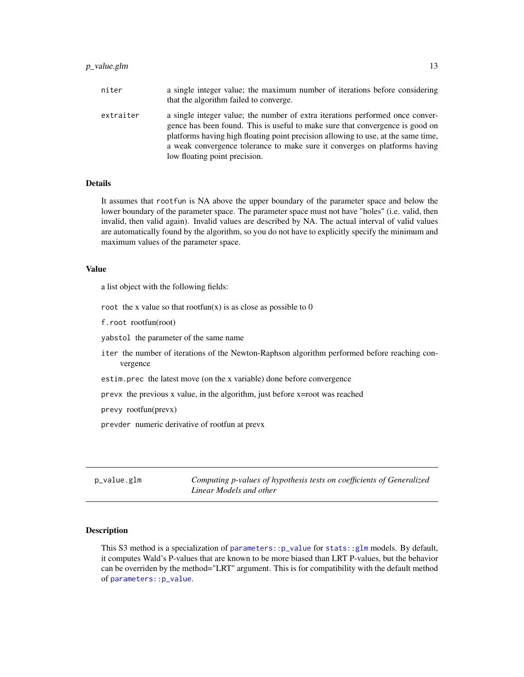# <span id="page-12-0"></span>p\_value.glm 13

| niter     | a single integer value; the maximum number of iterations before considering<br>that the algorithm failed to converge.                                                                                                                                                                                                                                              |
|-----------|--------------------------------------------------------------------------------------------------------------------------------------------------------------------------------------------------------------------------------------------------------------------------------------------------------------------------------------------------------------------|
| extraiter | a single integer value; the number of extra iterations performed once conver-<br>gence has been found. This is useful to make sure that convergence is good on<br>platforms having high floating point precision allowing to use, at the same time,<br>a weak convergence tolerance to make sure it converges on platforms having<br>low floating point precision. |

# Details

It assumes that rootfun is NA above the upper boundary of the parameter space and below the lower boundary of the parameter space. The parameter space must not have "holes" (i.e. valid, then invalid, then valid again). Invalid values are described by NA. The actual interval of valid values are automatically found by the algorithm, so you do not have to explicitly specify the minimum and maximum values of the parameter space.

# Value

a list object with the following fields:

root the x value so that rootfun $(x)$  is as close as possible to 0

f.root rootfun(root)

yabstol the parameter of the same name

- iter the number of iterations of the Newton-Raphson algorithm performed before reaching convergence
- estim.prec the latest move (on the x variable) done before convergence

prevx the previous x value, in the algorithm, just before x=root was reached

prevy rootfun(prevx)

prevder numeric derivative of rootfun at prevx

<span id="page-12-1"></span>

| p_value.glm | Computing p-values of hypothesis tests on coefficients of Generalized |
|-------------|-----------------------------------------------------------------------|
|             | Linear Models and other                                               |

# Description

This S3 method is a specialization of [parameters::p\\_value](#page-0-0) for [stats::glm](#page-0-0) models. By default, it computes Wald's P-values that are known to be more biased than LRT P-values, but the behavior can be overriden by the method="LRT" argument. This is for compatibility with the default method of [parameters::p\\_value](#page-0-0).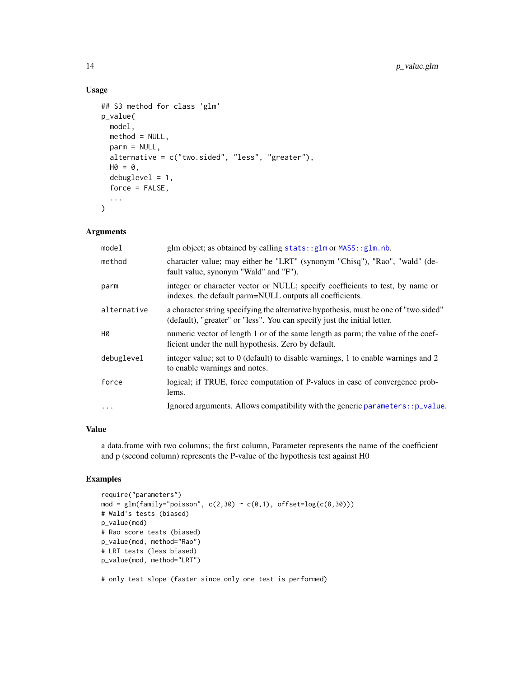# Usage

```
## S3 method for class 'glm'
p_value(
 model,
 method = NULL,parm = NULL,
 alternative = c("two.sided", "less", "greater"),HO = 0,
  debuglevel = 1,
  force = FALSE,
  ...
)
```
# Arguments

| model       | glm object; as obtained by calling stats:: glm or MASS:: glm.nb.                                                                                                 |
|-------------|------------------------------------------------------------------------------------------------------------------------------------------------------------------|
| method      | character value; may either be "LRT" (synonym "Chisq"), "Rao", "wald" (de-<br>fault value, synonym "Wald" and "F").                                              |
| parm        | integer or character vector or NULL; specify coefficients to test, by name or<br>indexes, the default parm=NULL outputs all coefficients.                        |
| alternative | a character string specifying the alternative hypothesis, must be one of "two.sided"<br>(default), "greater" or "less". You can specify just the initial letter. |
| H0          | numeric vector of length 1 or of the same length as parm; the value of the coef-<br>ficient under the null hypothesis. Zero by default.                          |
| debuglevel  | integer value; set to 0 (default) to disable warnings, 1 to enable warnings and 2<br>to enable warnings and notes.                                               |
| force       | logical; if TRUE, force computation of P-values in case of convergence prob-<br>lems.                                                                            |
| $\ddotsc$   | Ignored arguments. Allows compatibility with the generic parameters: : p_value.                                                                                  |
|             |                                                                                                                                                                  |

# Value

a data.frame with two columns; the first column, Parameter represents the name of the coefficient and p (second column) represents the P-value of the hypothesis test against H0

# Examples

```
require("parameters")
mod = glm(family="poisson", c(2,30) \sim c(0,1), offset=log(c(8,30)))
# Wald's tests (biased)
p_value(mod)
# Rao score tests (biased)
p_value(mod, method="Rao")
# LRT tests (less biased)
p_value(mod, method="LRT")
```
# only test slope (faster since only one test is performed)

<span id="page-13-0"></span>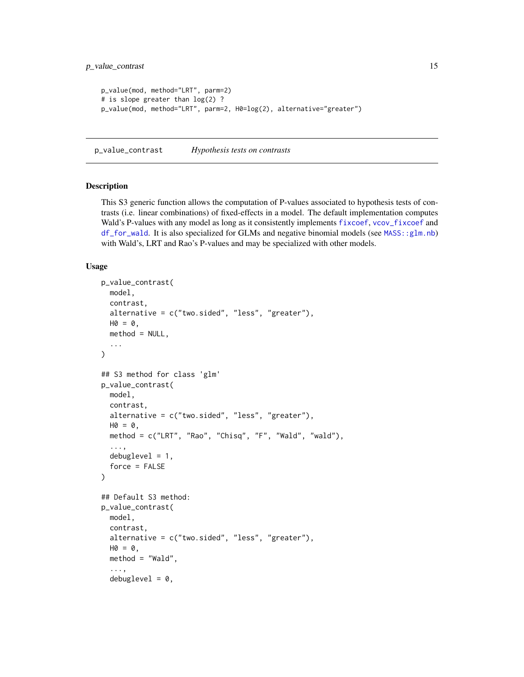```
p_value(mod, method="LRT", parm=2)
# is slope greater than log(2) ?
p_value(mod, method="LRT", parm=2, H0=log(2), alternative="greater")
```
<span id="page-14-1"></span>p\_value\_contrast *Hypothesis tests on contrasts*

# <span id="page-14-2"></span>Description

This S3 generic function allows the computation of P-values associated to hypothesis tests of contrasts (i.e. linear combinations) of fixed-effects in a model. The default implementation computes Wald's P-values with any model as long as it consistently implements [fixcoef](#page-7-1), [vcov\\_fixcoef](#page-18-1) and [df\\_for\\_wald](#page-3-1). It is also specialized for GLMs and negative binomial models (see [MASS::glm.nb](#page-0-0)) with Wald's, LRT and Rao's P-values and may be specialized with other models.

```
p_value_contrast(
 model,
  contrast,
  alternative = c("two.sided", "less", "greater"),
 HO = 0,
  method = NULL,...
\lambda## S3 method for class 'glm'
p_value_contrast(
  model,
  contrast,
  alternative = c("two.sided", "less", "greater"),
 HO = 0,
 method = c("LRT", "Rao", "Chisq", "F", "Wald", "wald"),
  ...,
  debuglevel = 1,
  force = FALSE
)
## Default S3 method:
p_value_contrast(
  model,
  contrast,
  alternative = c("two.sided", "less", "greater"),
 HO = 0,
  method = "Wald",...,
  debuglevel = 0,
```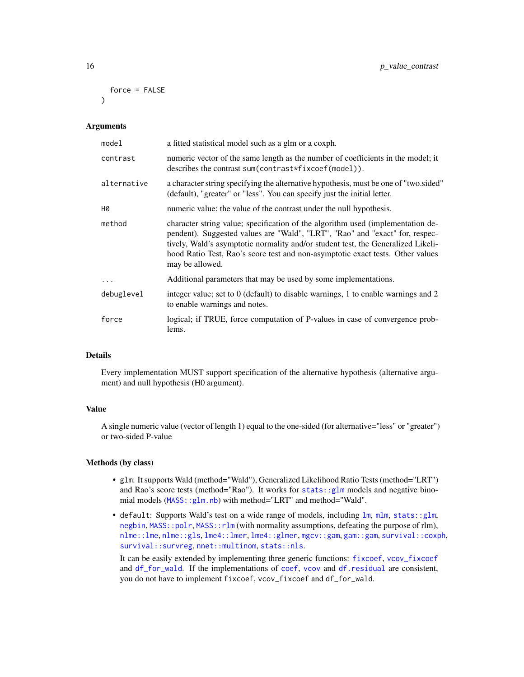```
force = FALSE
\lambda
```
#### Arguments

| model       | a fitted statistical model such as a glm or a coxph.                                                                                                                                                                                                                                                                                                     |
|-------------|----------------------------------------------------------------------------------------------------------------------------------------------------------------------------------------------------------------------------------------------------------------------------------------------------------------------------------------------------------|
| contrast    | numeric vector of the same length as the number of coefficients in the model; it<br>describes the contrast sum (contrast*fixcoef(model)).                                                                                                                                                                                                                |
| alternative | a character string specifying the alternative hypothesis, must be one of "two.sided"<br>(default), "greater" or "less". You can specify just the initial letter.                                                                                                                                                                                         |
| Н0          | numeric value; the value of the contrast under the null hypothesis.                                                                                                                                                                                                                                                                                      |
| method      | character string value; specification of the algorithm used (implementation de-<br>pendent). Suggested values are "Wald", "LRT", "Rao" and "exact" for, respec-<br>tively, Wald's asymptotic normality and/or student test, the Generalized Likeli-<br>hood Ratio Test, Rao's score test and non-asymptotic exact tests. Other values<br>may be allowed. |
| .           | Additional parameters that may be used by some implementations.                                                                                                                                                                                                                                                                                          |
| debuglevel  | integer value; set to 0 (default) to disable warnings, 1 to enable warnings and 2<br>to enable warnings and notes.                                                                                                                                                                                                                                       |
| force       | logical; if TRUE, force computation of P-values in case of convergence prob-<br>lems.                                                                                                                                                                                                                                                                    |

# Details

Every implementation MUST support specification of the alternative hypothesis (alternative argument) and null hypothesis (H0 argument).

# Value

A single numeric value (vector of length 1) equal to the one-sided (for alternative="less" or "greater") or two-sided P-value

# Methods (by class)

- glm: It supports Wald (method="Wald"), Generalized Likelihood Ratio Tests (method="LRT") and Rao's score tests (method="Rao"). It works for [stats::glm](#page-0-0) models and negative binomial models (MASS:: glm.nb) with method="LRT" and method="Wald".
- default: Supports Wald's test on a wide range of models, including [lm](#page-0-0), [mlm](#page-0-0), [stats::glm](#page-0-0), [negbin](#page-0-0), [MASS::polr](#page-0-0), [MASS::rlm](#page-0-0) (with normality assumptions, defeating the purpose of rlm), [nlme::lme](#page-0-0), [nlme::gls](#page-0-0), [lme4::lmer](#page-0-0), [lme4::glmer](#page-0-0), [mgcv::gam](#page-0-0), [gam::gam](#page-0-0), [survival::coxph](#page-0-0), [survival::survreg](#page-0-0), [nnet::multinom](#page-0-0), [stats::nls](#page-0-0).

It can be easily extended by implementing three generic functions: [fixcoef](#page-7-1), [vcov\\_fixcoef](#page-18-1) and [df\\_for\\_wald](#page-3-1). If the implementations of [coef](#page-0-0), [vcov](#page-0-0) and [df.residual](#page-0-0) are consistent, you do not have to implement fixcoef, vcov\_fixcoef and df\_for\_wald.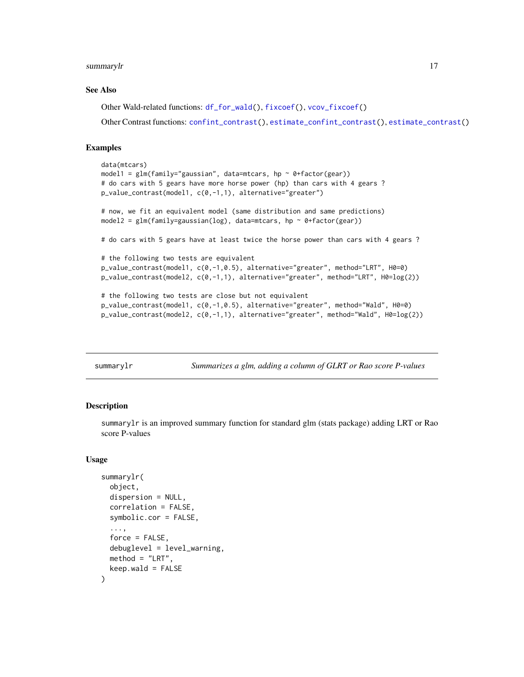#### <span id="page-16-0"></span>summarylr the contract of the contract of the contract of the contract of the contract of the contract of the contract of the contract of the contract of the contract of the contract of the contract of the contract of the

# See Also

Other Wald-related functions: [df\\_for\\_wald\(](#page-3-1)), [fixcoef\(](#page-7-1)), [vcov\\_fixcoef\(](#page-18-1))

Other Contrast functions: [confint\\_contrast\(](#page-1-1)), [estimate\\_confint\\_contrast\(](#page-4-1)), [estimate\\_contrast\(](#page-6-1))

# Examples

```
data(mtcars)
model1 = glm(family="gaussian", data=mtcars, hp ~ 0+factor(gear))# do cars with 5 gears have more horse power (hp) than cars with 4 gears ?
p_value_contrast(model1, c(0,-1,1), alternative="greater")
# now, we fit an equivalent model (same distribution and same predictions)
model2 = glm(family=gaussian(log), data=mtcars, hp ~ 0+factor(gear))
# do cars with 5 gears have at least twice the horse power than cars with 4 gears ?
# the following two tests are equivalent
p_value_contrast(model1, c(0,-1,0.5), alternative="greater", method="LRT", H0=0)
p_value_contrast(model2, c(0,-1,1), alternative="greater", method="LRT", H0=log(2))
# the following two tests are close but not equivalent
p_value_contrast(model1, c(0,-1,0.5), alternative="greater", method="Wald", H0=0)
p_value_contrast(model2, c(0,-1,1), alternative="greater", method="Wald", H0=log(2))
```
<span id="page-16-1"></span>summarylr *Summarizes a glm, adding a column of GLRT or Rao score P-values*

# Description

summarylr is an improved summary function for standard glm (stats package) adding LRT or Rao score P-values

```
summarylr(
  object,
  dispersion = NULL,
  correlation = FALSE,
  symbolic.cor = FALSE,
  ...,
  force = FALSE,
  debuglevel = level_warning.
 method = "LRT",keep(wald = FALSE)
```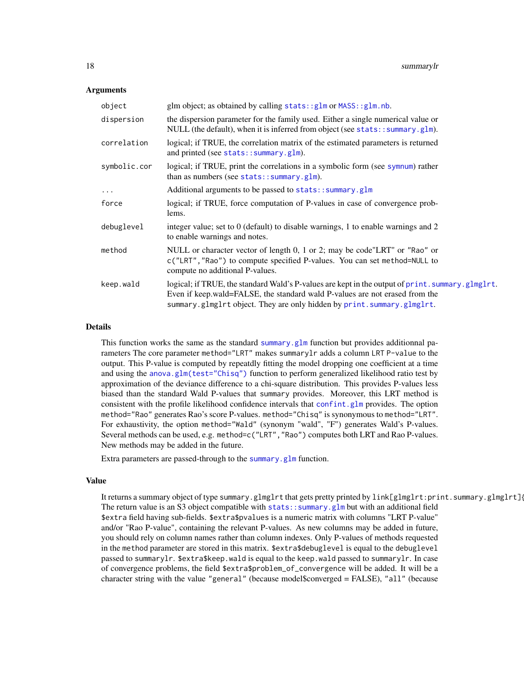#### <span id="page-17-0"></span>Arguments

| object       | glm object; as obtained by calling $stats::glm$ or $MASS::glm.nb$ .                                                                                                                                                                                       |
|--------------|-----------------------------------------------------------------------------------------------------------------------------------------------------------------------------------------------------------------------------------------------------------|
| dispersion   | the dispersion parameter for the family used. Either a single numerical value or<br>NULL (the default), when it is inferred from object (see stats::summary.glm).                                                                                         |
| correlation  | logical; if TRUE, the correlation matrix of the estimated parameters is returned<br>and printed (see stats:: summary.glm).                                                                                                                                |
| symbolic.cor | logical; if TRUE, print the correlations in a symbolic form (see symnum) rather<br>than as numbers (see stats:: $summary.glm$ ).                                                                                                                          |
| $\cdots$     | Additional arguments to be passed to stats:: summary.glm                                                                                                                                                                                                  |
| force        | logical; if TRUE, force computation of P-values in case of convergence prob-<br>lems.                                                                                                                                                                     |
| debuglevel   | integer value; set to 0 (default) to disable warnings, 1 to enable warnings and 2<br>to enable warnings and notes.                                                                                                                                        |
| method       | NULL or character vector of length 0, 1 or 2; may be code"LRT" or "Rao" or                                                                                                                                                                                |
|              | c("LRT", "Rao") to compute specified P-values. You can set method=NULL to<br>compute no additional P-values.                                                                                                                                              |
| keep.wald    | logical; if TRUE, the standard Wald's P-values are kept in the output of print. summary.glmglrt.<br>Even if keep.wald=FALSE, the standard wald P-values are not erased from the<br>summary.glmglrt object. They are only hidden by print.summary.glmglrt. |

#### Details

This function works the same as the standard [summary.glm](#page-0-0) function but provides additionnal parameters The core parameter method="LRT" makes summarylr adds a column LRT P-value to the output. This P-value is computed by repeatdly fitting the model dropping one coefficient at a time and using the [anova.glm\(test="Chisq"\)](#page-0-0) function to perform generalized likelihood ratio test by approximation of the deviance difference to a chi-square distribution. This provides P-values less biased than the standard Wald P-values that summary provides. Moreover, this LRT method is consistent with the profile likelihood confidence intervals that [confint.glm](#page-0-0) provides. The option method="Rao" generates Rao's score P-values. method="Chisq" is synonymous to method="LRT". For exhaustivity, the option method="Wald" (synonym "wald", "F") generates Wald's P-values. Several methods can be used, e.g. method=c("LRT","Rao") computes both LRT and Rao P-values. New methods may be added in the future.

Extra parameters are passed-through to the [summary.glm](#page-0-0) function.

#### Value

It returns a summary object of type summary.glmglrt that gets pretty printed by link[glmglrt:print.summary.glmglrt]{ The return value is an S3 object compatible with [stats::summary.glm](#page-0-0) but with an additional field \$extra field having sub-fields. \$extra\$pvalues is a numeric matrix with columns "LRT P-value" and/or "Rao P-value", containing the relevant P-values. As new columns may be added in future, you should rely on column names rather than column indexes. Only P-values of methods requested in the method parameter are stored in this matrix. \$extra\$debuglevel is equal to the debuglevel passed to summarylr. \$extra\$keep.wald is equal to the keep.wald passed to summarylr. In case of convergence problems, the field \$extra\$problem\_of\_convergence will be added. It will be a character string with the value "general" (because model\$converged = FALSE), "all" (because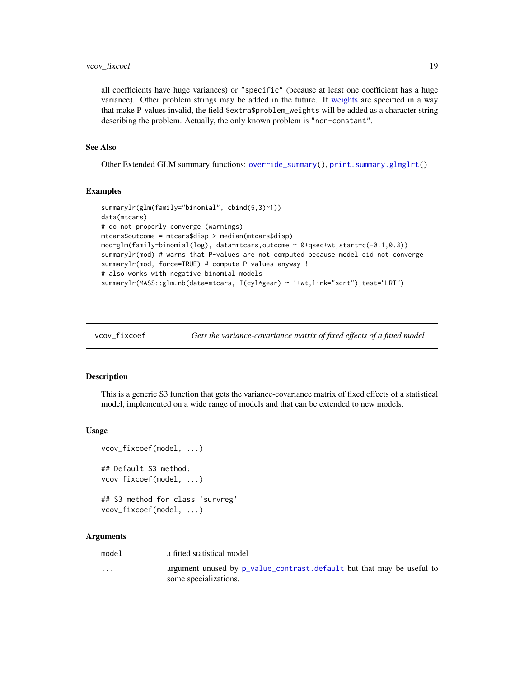# <span id="page-18-0"></span>vcov\_fixcoef 19

all coefficients have huge variances) or "specific" (because at least one coefficient has a huge variance). Other problem strings may be added in the future. If [weights](#page-0-0) are specified in a way that make P-values invalid, the field \$extra\$problem\_weights will be added as a character string describing the problem. Actually, the only known problem is "non-constant".

# See Also

Other Extended GLM summary functions: [override\\_summary\(](#page-9-1)), [print.summary.glmglrt\(](#page-10-1))

#### Examples

```
summarylr(glm(family="binomial", cbind(5,3)~1))
data(mtcars)
# do not properly converge (warnings)
mtcars$outcome = mtcars$disp > median(mtcars$disp)
mod=glm(family=binomial(log), data=mtcars,outcome ~ 0+qsec+wt,start=c(-0.1,0.3))
summarylr(mod) # warns that P-values are not computed because model did not converge
summarylr(mod, force=TRUE) # compute P-values anyway !
# also works with negative binomial models
summarylr(MASS::glm.nb(data=mtcars, I(cyl*gear) ~ 1+wt,link="sqrt"),test="LRT")
```
<span id="page-18-1"></span>

```
vcov_fixcoef Gets the variance-covariance matrix of fixed effects of a fitted model
```
#### Description

This is a generic S3 function that gets the variance-covariance matrix of fixed effects of a statistical model, implemented on a wide range of models and that can be extended to new models.

#### Usage

```
vcov_fixcoef(model, ...)
## Default S3 method:
vcov_fixcoef(model, ...)
## S3 method for class 'survreg'
```

```
vcov_fixcoef(model, ...)
```
# Arguments

model a fitted statistical model

... argument unused by [p\\_value\\_contrast.default](#page-14-2) but that may be useful to some specializations.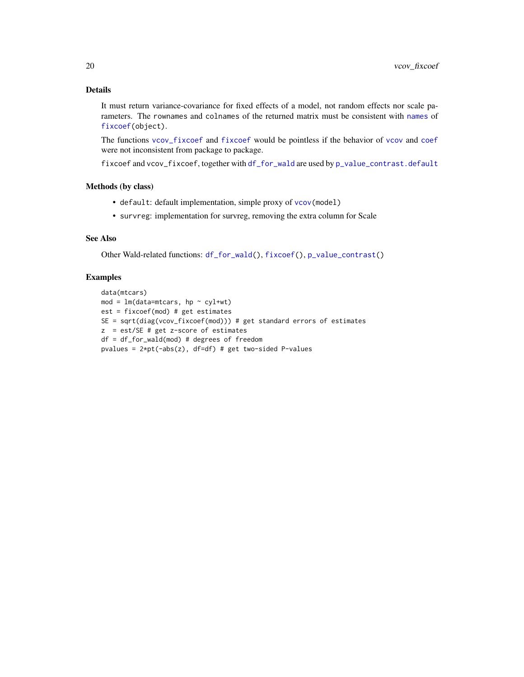# <span id="page-19-0"></span>Details

It must return variance-covariance for fixed effects of a model, not random effects nor scale parameters. The rownames and colnames of the returned matrix must be consistent with [names](#page-0-0) of [fixcoef\(](#page-7-1)object).

The functions [vcov\\_fixcoef](#page-18-1) and [fixcoef](#page-7-1) would be pointless if the behavior of [vcov](#page-0-0) and [coef](#page-0-0) were not inconsistent from package to package.

fixcoef and vcov\_fixcoef, together with [df\\_for\\_wald](#page-3-1) are used by [p\\_value\\_contrast.default](#page-14-2)

# Methods (by class)

- default: default implementation, simple proxy of [vcov\(](#page-0-0)model)
- survreg: implementation for survreg, removing the extra column for Scale

# See Also

Other Wald-related functions: [df\\_for\\_wald\(](#page-3-1)), [fixcoef\(](#page-7-1)), [p\\_value\\_contrast\(](#page-14-1))

# Examples

```
data(mtcars)
mod = lm(data=mtcars, hp \sim cyl+wt)est = fixcoef(mod) # get estimates
SE = sqrt(diag(vcov_fixcoef(mod))) # get standard errors of estimates
z = est/SE # get z-score of estimates
df = df_for_wald(mod) # degrees of freedom
pvalues = 2*pt(-abs(z), df=df) # get two-sided P-values
```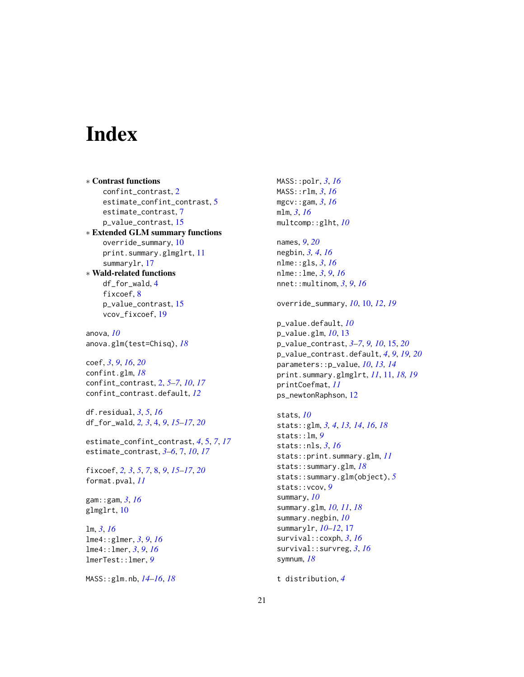# <span id="page-20-0"></span>**Index**

∗ Contrast functions confint\_contrast, [2](#page-1-0) estimate\_confint\_contrast, [5](#page-4-0) estimate\_contrast, [7](#page-6-0) p\_value\_contrast, [15](#page-14-0) ∗ Extended GLM summary functions override\_summary, [10](#page-9-0) print.summary.glmglrt, [11](#page-10-0) summarylr, [17](#page-16-0) ∗ Wald-related functions df\_for\_wald, [4](#page-3-0)

fixcoef, [8](#page-7-0) p\_value\_contrast, [15](#page-14-0) vcov\_fixcoef, [19](#page-18-0)

anova, *[10](#page-9-0)* anova.glm(test=Chisq), *[18](#page-17-0)*

coef, *[3](#page-2-0)*, *[9](#page-8-0)*, *[16](#page-15-0)*, *[20](#page-19-0)* confint.glm, *[18](#page-17-0)* confint\_contrast, [2,](#page-1-0) *[5–](#page-4-0)[7](#page-6-0)*, *[10](#page-9-0)*, *[17](#page-16-0)* confint\_contrast.default, *[12](#page-11-0)*

df.residual, *[3](#page-2-0)*, *[5](#page-4-0)*, *[16](#page-15-0)* df\_for\_wald, *[2,](#page-1-0) [3](#page-2-0)*, [4,](#page-3-0) *[9](#page-8-0)*, *[15–](#page-14-0)[17](#page-16-0)*, *[20](#page-19-0)*

estimate\_confint\_contrast, *[4](#page-3-0)*, [5,](#page-4-0) *[7](#page-6-0)*, *[17](#page-16-0)* estimate\_contrast, *[3–](#page-2-0)[6](#page-5-0)*, [7,](#page-6-0) *[10](#page-9-0)*, *[17](#page-16-0)*

fixcoef, *[2,](#page-1-0) [3](#page-2-0)*, *[5](#page-4-0)*, *[7](#page-6-0)*, [8,](#page-7-0) *[9](#page-8-0)*, *[15–](#page-14-0)[17](#page-16-0)*, *[20](#page-19-0)* format.pval, *[11](#page-10-0)*

gam::gam, *[3](#page-2-0)*, *[16](#page-15-0)* glmglrt, [10](#page-9-0)

lm, *[3](#page-2-0)*, *[16](#page-15-0)* lme4::glmer, *[3](#page-2-0)*, *[9](#page-8-0)*, *[16](#page-15-0)* lme4::lmer, *[3](#page-2-0)*, *[9](#page-8-0)*, *[16](#page-15-0)* lmerTest::lmer, *[9](#page-8-0)*

MASS::glm.nb, *[14](#page-13-0)[–16](#page-15-0)*, *[18](#page-17-0)*

MASS::polr, *[3](#page-2-0)*, *[16](#page-15-0)* MASS::rlm, *[3](#page-2-0)*, *[16](#page-15-0)* mgcv::gam, *[3](#page-2-0)*, *[16](#page-15-0)* mlm, *[3](#page-2-0)*, *[16](#page-15-0)* multcomp::glht, *[10](#page-9-0)*

names, *[9](#page-8-0)*, *[20](#page-19-0)* negbin, *[3,](#page-2-0) [4](#page-3-0)*, *[16](#page-15-0)* nlme::gls, *[3](#page-2-0)*, *[16](#page-15-0)* nlme::lme, *[3](#page-2-0)*, *[9](#page-8-0)*, *[16](#page-15-0)* nnet::multinom, *[3](#page-2-0)*, *[9](#page-8-0)*, *[16](#page-15-0)*

override\_summary, *[10](#page-9-0)*, [10,](#page-9-0) *[12](#page-11-0)*, *[19](#page-18-0)*

p\_value.default, *[10](#page-9-0)* p\_value.glm, *[10](#page-9-0)*, [13](#page-12-0) p\_value\_contrast, *[3](#page-2-0)[–7](#page-6-0)*, *[9,](#page-8-0) [10](#page-9-0)*, [15,](#page-14-0) *[20](#page-19-0)* p\_value\_contrast.default, *[4](#page-3-0)*, *[9](#page-8-0)*, *[19,](#page-18-0) [20](#page-19-0)* parameters::p\_value, *[10](#page-9-0)*, *[13,](#page-12-0) [14](#page-13-0)* print.summary.glmglrt, *[11](#page-10-0)*, [11,](#page-10-0) *[18,](#page-17-0) [19](#page-18-0)* printCoefmat, *[11](#page-10-0)* ps\_newtonRaphson, [12](#page-11-0)

```
stats, 10
stats::glm, 3, 4, 13, 14, 16, 18
stats::lm, 9
stats::nls, 3, 16
stats::print.summary.glm, 11
stats::summary.glm, 18
stats::summary.glm(object), 5
stats::vcov, 9
summary, 10
summary.glm, 10, 11, 18
summary.negbin, 10
summarylr, 10–12, 17
survival::coxph, 3, 16
survival::survreg, 3, 16
symnum, 18
```
t distribution, *[4](#page-3-0)*